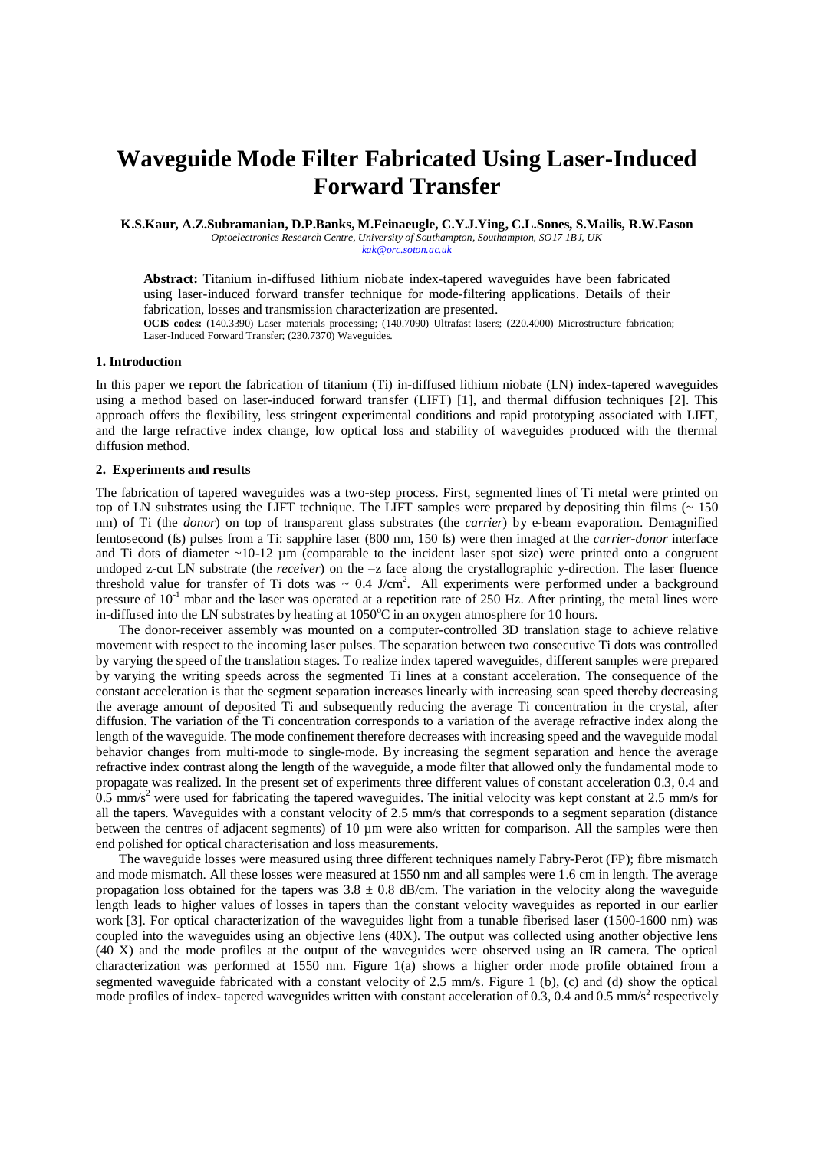# **Waveguide Mode Filter Fabricated Using Laser-Induced Forward Transfer**

**K.S.Kaur, A.Z.Subramanian, D.P.Banks, M.Feinaeugle, C.Y.J.Ying, C.L.Sones, S.Mailis, R.W.Eason** 

*Optoelectronics Research Centre, University of Southampton, Southampton, SO17 1BJ, UK kak@orc.soton.ac.uk*

**Abstract:** Titanium in-diffused lithium niobate index-tapered waveguides have been fabricated using laser-induced forward transfer technique for mode-filtering applications. Details of their fabrication, losses and transmission characterization are presented.

**OCIS codes:** (140.3390) Laser materials processing; (140.7090) Ultrafast lasers; (220.4000) Microstructure fabrication; Laser-Induced Forward Transfer; (230.7370) Waveguides.

#### **1. Introduction**

In this paper we report the fabrication of titanium (Ti) in-diffused lithium niobate (LN) index-tapered waveguides using a method based on laser-induced forward transfer (LIFT) [1], and thermal diffusion techniques [2]. This approach offers the flexibility, less stringent experimental conditions and rapid prototyping associated with LIFT, and the large refractive index change, low optical loss and stability of waveguides produced with the thermal diffusion method.

## **2. Experiments and results**

The fabrication of tapered waveguides was a two-step process. First, segmented lines of Ti metal were printed on top of LN substrates using the LIFT technique. The LIFT samples were prepared by depositing thin films (~ 150 nm) of Ti (the *donor*) on top of transparent glass substrates (the *carrier*) by e-beam evaporation. Demagnified femtosecond (fs) pulses from a Ti: sapphire laser (800 nm, 150 fs) were then imaged at the *carrier-donor* interface and Ti dots of diameter ~10-12  $\mu$ m (comparable to the incident laser spot size) were printed onto a congruent undoped z-cut LN substrate (the *receiver*) on the –z face along the crystallographic y-direction. The laser fluence threshold value for transfer of Ti dots was  $\sim 0.4$  J/cm<sup>2</sup>. All experiments were performed under a background pressure of  $10^{-1}$  mbar and the laser was operated at a repetition rate of 250 Hz. After printing, the metal lines were in-diffused into the LN substrates by heating at  $1050^{\circ}$ C in an oxygen atmosphere for 10 hours.

The donor-receiver assembly was mounted on a computer-controlled 3D translation stage to achieve relative movement with respect to the incoming laser pulses. The separation between two consecutive Ti dots was controlled by varying the speed of the translation stages. To realize index tapered waveguides, different samples were prepared by varying the writing speeds across the segmented Ti lines at a constant acceleration. The consequence of the constant acceleration is that the segment separation increases linearly with increasing scan speed thereby decreasing the average amount of deposited Ti and subsequently reducing the average Ti concentration in the crystal, after diffusion. The variation of the Ti concentration corresponds to a variation of the average refractive index along the length of the waveguide. The mode confinement therefore decreases with increasing speed and the waveguide modal behavior changes from multi-mode to single-mode. By increasing the segment separation and hence the average refractive index contrast along the length of the waveguide, a mode filter that allowed only the fundamental mode to propagate was realized. In the present set of experiments three different values of constant acceleration 0.3, 0.4 and  $0.5$  mm/s<sup>2</sup> were used for fabricating the tapered waveguides. The initial velocity was kept constant at 2.5 mm/s for all the tapers. Waveguides with a constant velocity of 2.5 mm/s that corresponds to a segment separation (distance between the centres of adjacent segments) of 10  $\mu$ m were also written for comparison. All the samples were then end polished for optical characterisation and loss measurements.

The waveguide losses were measured using three different techniques namely Fabry-Perot (FP); fibre mismatch and mode mismatch. All these losses were measured at 1550 nm and all samples were 1.6 cm in length. The average propagation loss obtained for the tapers was  $3.8 \pm 0.8$  dB/cm. The variation in the velocity along the waveguide length leads to higher values of losses in tapers than the constant velocity waveguides as reported in our earlier work [3]. For optical characterization of the waveguides light from a tunable fiberised laser (1500-1600 nm) was coupled into the waveguides using an objective lens (40X). The output was collected using another objective lens (40 X) and the mode profiles at the output of the waveguides were observed using an IR camera. The optical characterization was performed at 1550 nm. Figure 1(a) shows a higher order mode profile obtained from a segmented waveguide fabricated with a constant velocity of 2.5 mm/s. Figure 1 (b), (c) and (d) show the optical mode profiles of index- tapered waveguides written with constant acceleration of  $0.3$ ,  $0.4$  and  $0.5$  mm/s<sup>2</sup> respectively